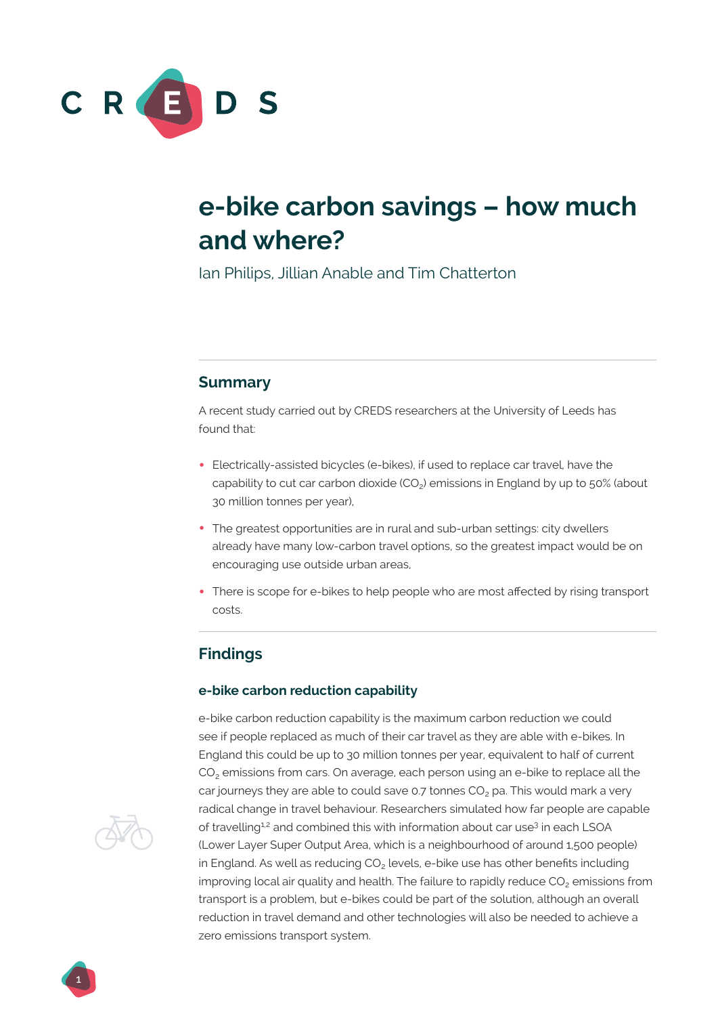

# **e-bike carbon savings – how much and where?**

Ian Philips, Jillian Anable and Tim Chatterton

# **Summary**

A recent study carried out by CREDS researchers at the University of Leeds has found that:

- **•** Electrically-assisted bicycles (e-bikes), if used to replace car travel, have the capability to cut car carbon dioxide  $(CO<sub>2</sub>)$  emissions in England by up to 50% (about 30 million tonnes per year),
- **•** The greatest opportunities are in rural and sub-urban settings: city dwellers already have many low-carbon travel options, so the greatest impact would be on encouraging use outside urban areas,
- **•** There is scope for e-bikes to help people who are most affected by rising transport costs.

# **Findings**

### **e-bike carbon reduction capability**

e-bike carbon reduction capability is the maximum carbon reduction we could see if people replaced as much of their car travel as they are able with e-bikes. In England this could be up to 30 million tonnes per year, equivalent to half of current  $CO<sub>2</sub>$  emissions from cars. On average, each person using an e-bike to replace all the car journeys they are able to could save 0.7 tonnes  $CO<sub>2</sub>$  pa. This would mark a very radical change in travel behaviour. Researchers simulated how far people are capable of travelling<sup>1,2</sup> and combined this with information about car use<sup>3</sup> in each LSOA (Lower Layer Super Output Area, which is a neighbourhood of around 1,500 people) in England. As well as reducing  $CO<sub>2</sub>$  levels, e-bike use has other benefits including improving local air quality and health. The failure to rapidly reduce  $CO<sub>2</sub>$  emissions from transport is a problem, but e-bikes could be part of the solution, although an overall reduction in travel demand and other technologies will also be needed to achieve a zero emissions transport system.

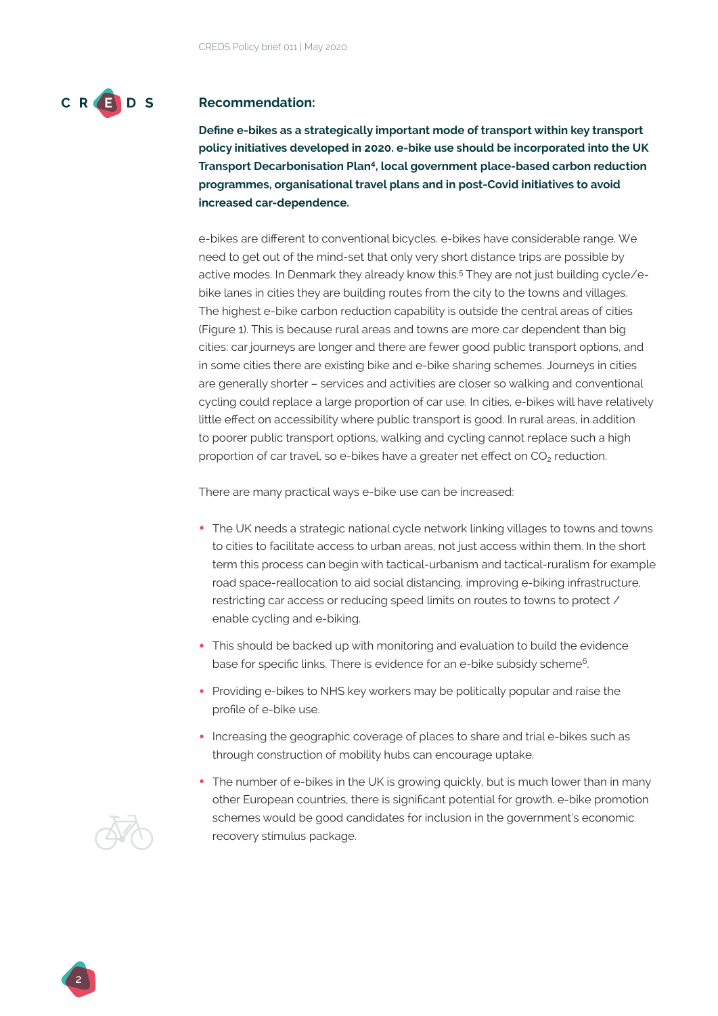

#### **Recommendation:**

**Define e-bikes as a strategically important mode of transport within key transport policy initiatives developed in 2020. e-bike use should be incorporated into the UK Transport Decarbonisation Plan4, local government place-based carbon reduction programmes, organisational travel plans and in post-Covid initiatives to avoid increased car-dependence.** 

e-bikes are different to conventional bicycles. e-bikes have considerable range. We need to get out of the mind-set that only very short distance trips are possible by active modes. In Denmark they already know this.<sup>5</sup> They are not just building cycle/ebike lanes in cities they are building routes from the city to the towns and villages. The highest e-bike carbon reduction capability is outside the central areas of cities (Figure 1). This is because rural areas and towns are more car dependent than big cities: car journeys are longer and there are fewer good public transport options, and in some cities there are existing bike and e-bike sharing schemes. Journeys in cities are generally shorter – services and activities are closer so walking and conventional cycling could replace a large proportion of car use. In cities, e-bikes will have relatively little effect on accessibility where public transport is good. In rural areas, in addition to poorer public transport options, walking and cycling cannot replace such a high proportion of car travel, so e-bikes have a greater net effect on CO<sub>2</sub> reduction.

There are many practical ways e-bike use can be increased:

- **•** The UK needs a strategic national cycle network linking villages to towns and towns to cities to facilitate access to urban areas, not just access within them. In the short term this process can begin with tactical-urbanism and tactical-ruralism for example road space-reallocation to aid social distancing, improving e-biking infrastructure, restricting car access or reducing speed limits on routes to towns to protect / enable cycling and e-biking.
- **•** This should be backed up with monitoring and evaluation to build the evidence base for specific links. There is evidence for an e-bike subsidy scheme<sup>6</sup>.
- **•** Providing e-bikes to NHS key workers may be politically popular and raise the profile of e-bike use.
- **•** Increasing the geographic coverage of places to share and trial e-bikes such as through construction of mobility hubs can encourage uptake.
- **•** The number of e-bikes in the UK is growing quickly, but is much lower than in many other European countries, there is significant potential for growth. e-bike promotion schemes would be good candidates for inclusion in the government's economic recovery stimulus package.

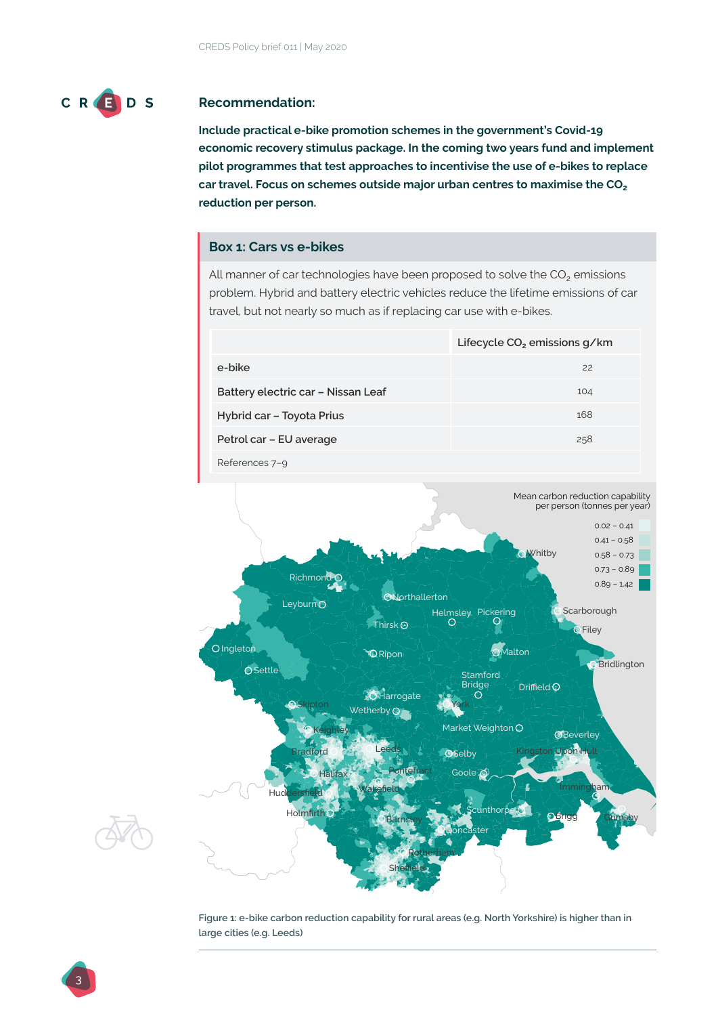

#### **Recommendation:**

**Include practical e-bike promotion schemes in the government's Covid-19 economic recovery stimulus package. In the coming two years fund and implement pilot programmes that test approaches to incentivise the use of e-bikes to replace**  car travel. Focus on schemes outside major urban centres to maximise the CO<sub>2</sub> **reduction per person.** 

#### **Box 1: Cars vs e-bikes**

All manner of car technologies have been proposed to solve the  $CO<sub>2</sub>$  emissions problem. Hybrid and battery electric vehicles reduce the lifetime emissions of car travel, but not nearly so much as if replacing car use with e-bikes.

|                                    | Lifecycle CO <sub>2</sub> emissions g/km |
|------------------------------------|------------------------------------------|
| e-bike                             | 22                                       |
| Battery electric car – Nissan Leaf | 104                                      |
| Hybrid car – Toyota Prius          | 168                                      |
| Petrol car – EU average            | 258                                      |
| References 7-9                     |                                          |





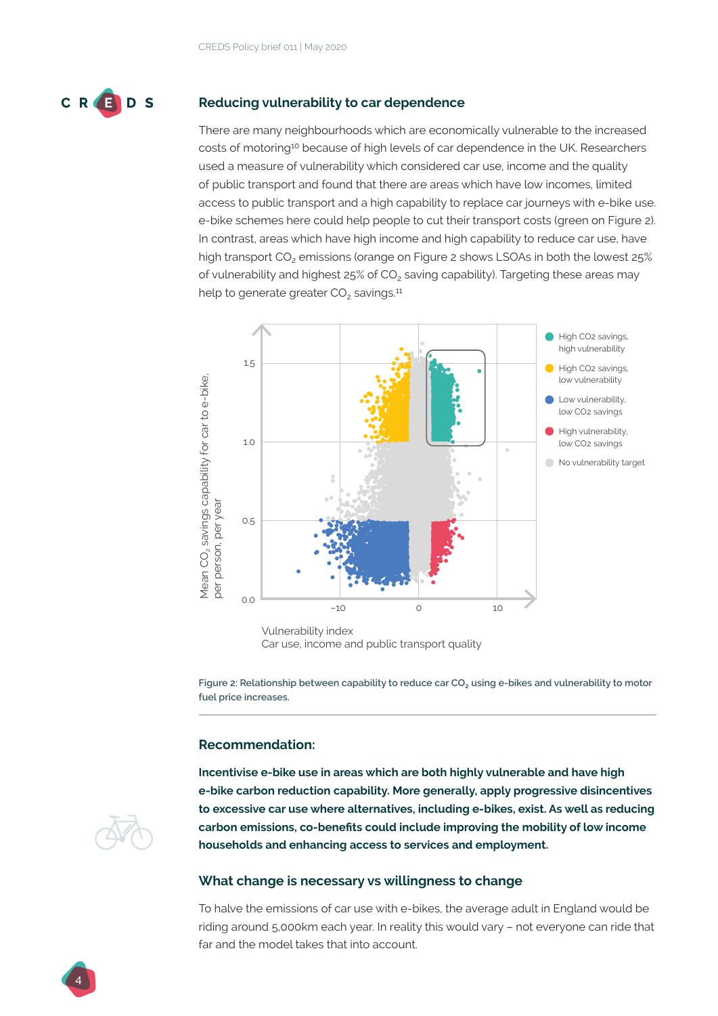

#### **Reducing vulnerability to car dependence**

There are many neighbourhoods which are economically vulnerable to the increased costs of motoring<sup>10</sup> because of high levels of car dependence in the UK. Researchers used a measure of vulnerability which considered car use, income and the quality of public transport and found that there are areas which have low incomes, limited access to public transport and a high capability to replace car journeys with e-bike use. e-bike schemes here could help people to cut their transport costs (green on Figure 2). In contrast, areas which have high income and high capability to reduce car use, have high transport CO<sub>2</sub> emissions (orange on Figure 2 shows LSOAs in both the lowest 25% of vulnerability and highest  $25\%$  of  $CO<sub>2</sub>$  saving capability). Targeting these areas may help to generate greater  $CO<sub>2</sub>$  savings.<sup>11</sup>



Figure 2: Relationship between capability to reduce car CO<sub>2</sub> using e-bikes and vulnerability to motor **fuel price increases.** 

#### **Recommendation:**

**Incentivise e-bike use in areas which are both highly vulnerable and have high e-bike carbon reduction capability. More generally, apply progressive disincentives to excessive car use where alternatives, including e-bikes, exist. As well as reducing carbon emissions, co-benefits could include improving the mobility of low income households and enhancing access to services and employment.**

#### **What change is necessary vs willingness to change**

To halve the emissions of car use with e-bikes, the average adult in England would be riding around 5,000km each year. In reality this would vary – not everyone can ride that far and the model takes that into account.

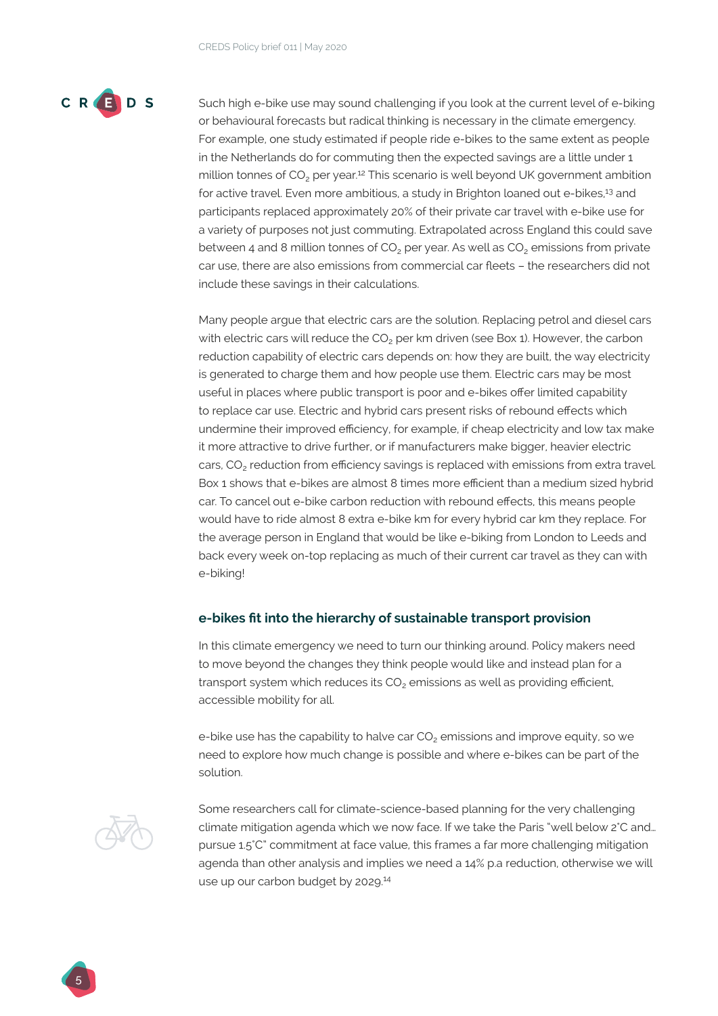

Such high e-bike use may sound challenging if you look at the current level of e-biking or behavioural forecasts but radical thinking is necessary in the climate emergency. For example, one study estimated if people ride e-bikes to the same extent as people in the Netherlands do for commuting then the expected savings are a little under 1 million tonnes of  $CO<sub>2</sub>$  per year.<sup>12</sup> This scenario is well beyond UK government ambition for active travel. Even more ambitious, a study in Brighton loaned out e-bikes,<sup>13</sup> and participants replaced approximately 20% of their private car travel with e-bike use for a variety of purposes not just commuting. Extrapolated across England this could save between 4 and 8 million tonnes of CO<sub>2</sub> per year. As well as CO<sub>2</sub> emissions from private car use, there are also emissions from commercial car fleets – the researchers did not include these savings in their calculations.

Many people argue that electric cars are the solution. Replacing petrol and diesel cars with electric cars will reduce the  $CO<sub>2</sub>$  per km driven (see Box 1). However, the carbon reduction capability of electric cars depends on: how they are built, the way electricity is generated to charge them and how people use them. Electric cars may be most useful in places where public transport is poor and e-bikes offer limited capability to replace car use. Electric and hybrid cars present risks of rebound effects which undermine their improved efficiency, for example, if cheap electricity and low tax make it more attractive to drive further, or if manufacturers make bigger, heavier electric cars,  $CO<sub>2</sub>$  reduction from efficiency savings is replaced with emissions from extra travel. Box 1 shows that e-bikes are almost 8 times more efficient than a medium sized hybrid car. To cancel out e-bike carbon reduction with rebound effects, this means people would have to ride almost 8 extra e-bike km for every hybrid car km they replace. For the average person in England that would be like e-biking from London to Leeds and back every week on-top replacing as much of their current car travel as they can with e-biking!

#### **e-bikes fit into the hierarchy of sustainable transport provision**

In this climate emergency we need to turn our thinking around. Policy makers need to move beyond the changes they think people would like and instead plan for a transport system which reduces its CO<sub>2</sub> emissions as well as providing efficient, accessible mobility for all.

e-bike use has the capability to halve car  $CO<sub>2</sub>$  emissions and improve equity, so we need to explore how much change is possible and where e-bikes can be part of the solution.



Some researchers call for climate-science-based planning for the very challenging climate mitigation agenda which we now face. If we take the Paris "well below 2°C and… pursue 1.5°C" commitment at face value, this frames a far more challenging mitigation agenda than other analysis and implies we need a 14% p.a reduction, otherwise we will use up our carbon budget by 2029.14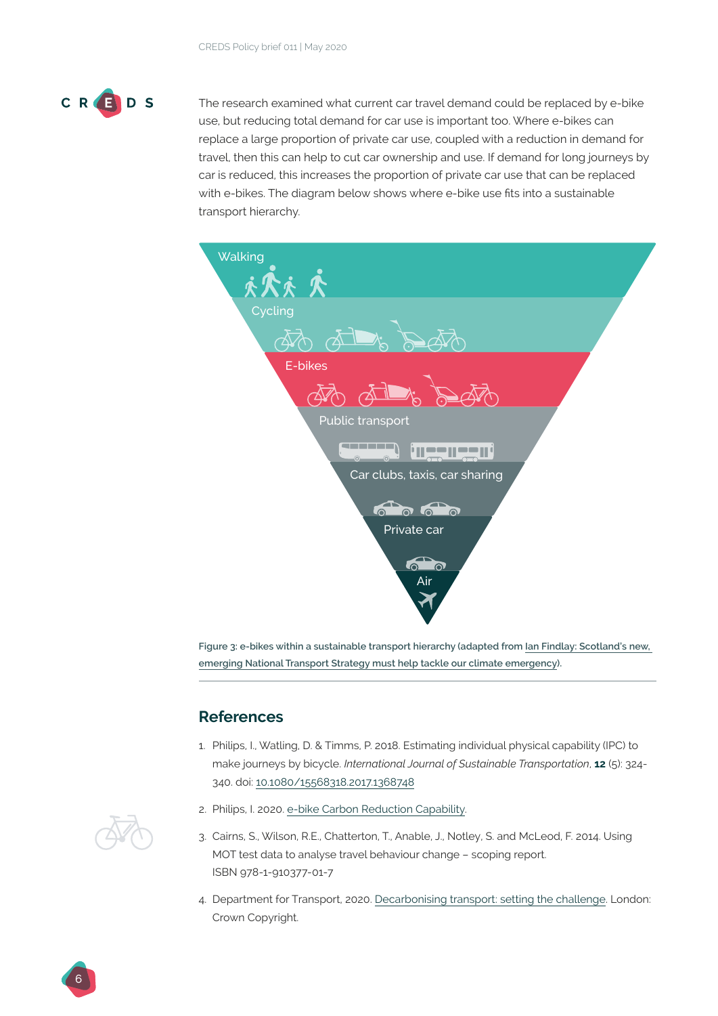

The research examined what current car travel demand could be replaced by e-bike use, but reducing total demand for car use is important too. Where e-bikes can replace a large proportion of private car use, coupled with a reduction in demand for travel, then this can help to cut car ownership and use. If demand for long journeys by car is reduced, this increases the proportion of private car use that can be replaced with e-bikes. The diagram below shows where e-bike use fits into a sustainable transport hierarchy.



**Figure 3: e-bikes within a sustainable transport hierarchy [\(adapted from Ian Findlay: Scotland's new,](https://www.pathsforall.org.uk/blog-post/scotlands-new-emerging-national-transport-strategy-must-help-tackle-our-climate-emergency)  [emerging National Transport Strategy must help tackle our climate emergency\)](https://www.pathsforall.org.uk/blog-post/scotlands-new-emerging-national-transport-strategy-must-help-tackle-our-climate-emergency).** 

# **References**

1. Philips, I., Watling, D. & Timms, P. 2018. Estimating individual physical capability (IPC) to make journeys by bicycle. *International Journal of Sustainable Transportation*, **12** (5): 324- 340. doi: [10.1080/15568318.2017.1368748](http://10.1080/15568318.2017.1368748)



- 2. Philips, I. 2020. [e-bike Carbon Reduction Capability.](https://github.com/DrIanPhilips/e-bikeCarbonReductionCapability)
- 3. Cairns, S., Wilson, R.E., Chatterton, T., Anable, J., Notley, S. and McLeod, F. 2014. Using MOT test data to analyse travel behaviour change – scoping report. ISBN 978-1-910377-01-7
- 4. Department for Transport, 2020. [Decarbonising transport: setting the challenge](https://assets.publishing.service.gov.uk/government/uploads/system/uploads/attachment_data/file/878642/decarbonising-transport-setting-the-challenge.pdf). London: Crown Copyright.